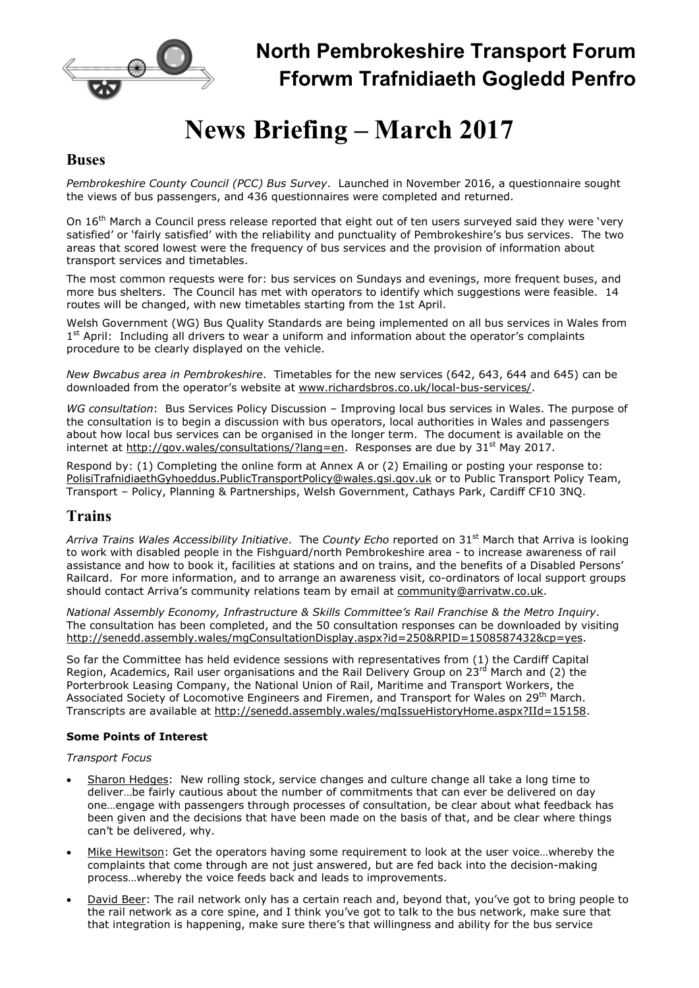

# North Pembrokeshire Transport Forum Fforwm Trafnidiaeth Gogledd Penfro

# News Briefing – March 2017

### **Buses**

Pembrokeshire County Council (PCC) Bus Survey. Launched in November 2016, a questionnaire sought the views of bus passengers, and 436 questionnaires were completed and returned.

On 16<sup>th</sup> March a Council press release reported that eight out of ten users surveyed said they were 'very satisfied' or 'fairly satisfied' with the reliability and punctuality of Pembrokeshire's bus services. The two areas that scored lowest were the frequency of bus services and the provision of information about transport services and timetables.

The most common requests were for: bus services on Sundays and evenings, more frequent buses, and more bus shelters. The Council has met with operators to identify which suggestions were feasible. 14 routes will be changed, with new timetables starting from the 1st April.

Welsh Government (WG) Bus Quality Standards are being implemented on all bus services in Wales from 1<sup>st</sup> April: Including all drivers to wear a uniform and information about the operator's complaints procedure to be clearly displayed on the vehicle.

New Bwcabus area in Pembrokeshire. Timetables for the new services (642, 643, 644 and 645) can be downloaded from the operator's website at www.richardsbros.co.uk/local-bus-services/.

WG consultation: Bus Services Policy Discussion - Improving local bus services in Wales. The purpose of the consultation is to begin a discussion with bus operators, local authorities in Wales and passengers about how local bus services can be organised in the longer term. The document is available on the internet at http://gov.wales/consultations/?lang=en. Responses are due by  $31<sup>st</sup>$  May 2017.

Respond by: (1) Completing the online form at Annex A or (2) Emailing or posting your response to: PolisiTrafnidiaethGyhoeddus.PublicTransportPolicy@wales.gsi.gov.uk or to Public Transport Policy Team, Transport – Policy, Planning & Partnerships, Welsh Government, Cathays Park, Cardiff CF10 3NQ.

## Trains

Arriva Trains Wales Accessibility Initiative. The County Echo reported on  $31^{st}$  March that Arriva is looking to work with disabled people in the Fishguard/north Pembrokeshire area - to increase awareness of rail assistance and how to book it, facilities at stations and on trains, and the benefits of a Disabled Persons' Railcard. For more information, and to arrange an awareness visit, co-ordinators of local support groups should contact Arriva's community relations team by email at community@arrivatw.co.uk.

National Assembly Economy, Infrastructure & Skills Committee's Rail Franchise & the Metro Inquiry. The consultation has been completed, and the 50 consultation responses can be downloaded by visiting http://senedd.assembly.wales/mgConsultationDisplay.aspx?id=250&RPID=1508587432&cp=yes.

So far the Committee has held evidence sessions with representatives from (1) the Cardiff Capital Region, Academics, Rail user organisations and the Rail Delivery Group on 23<sup>rd</sup> March and (2) the Porterbrook Leasing Company, the National Union of Rail, Maritime and Transport Workers, the Associated Society of Locomotive Engineers and Firemen, and Transport for Wales on 29<sup>th</sup> March. Transcripts are available at http://senedd.assembly.wales/mgIssueHistoryHome.aspx?IId=15158.

#### Some Points of Interest

Transport Focus

- Sharon Hedges: New rolling stock, service changes and culture change all take a long time to deliver…be fairly cautious about the number of commitments that can ever be delivered on day one…engage with passengers through processes of consultation, be clear about what feedback has been given and the decisions that have been made on the basis of that, and be clear where things can't be delivered, why.
- Mike Hewitson: Get the operators having some requirement to look at the user voice…whereby the complaints that come through are not just answered, but are fed back into the decision-making process…whereby the voice feeds back and leads to improvements.
- David Beer: The rail network only has a certain reach and, beyond that, you've got to bring people to the rail network as a core spine, and I think you've got to talk to the bus network, make sure that that integration is happening, make sure there's that willingness and ability for the bus service